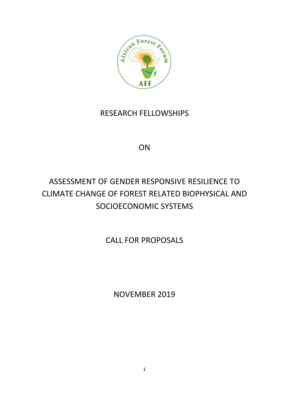

# RESEARCH FELLOWSHIPS

ON

# ASSESSMENT OF GENDER RESPONSIVE RESILIENCE TO CLIMATE CHANGE OF FOREST RELATED BIOPHYSICAL AND SOCIOECONOMIC SYSTEMS

CALL FOR PROPOSALS

NOVEMBER 2019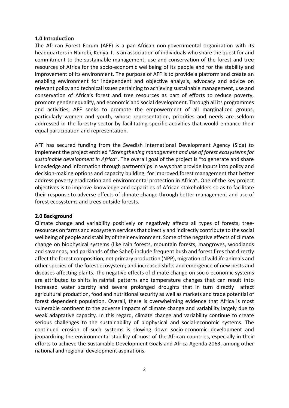#### **1.0 Introduction**

The African Forest Forum (AFF) is a pan-African non-governmental organization with its headquarters in Nairobi, Kenya. It is an association of individuals who share the quest for and commitment to the sustainable management, use and conservation of the forest and tree resources of Africa for the socio-economic wellbeing of its people and for the stability and improvement of its environment. The purpose of AFF is to provide a platform and create an enabling environment for independent and objective analysis, advocacy and advice on relevant policy and technical issues pertaining to achieving sustainable management, use and conservation of Africa's forest and tree resources as part of efforts to reduce poverty, promote gender equality, and economic and social development. Through all its programmes and activities, AFF seeks to promote the empowerment of all marginalized groups, particularly women and youth, whose representation, priorities and needs are seldom addressed in the forestry sector by facilitating specific activities that would enhance their equal participation and representation.

AFF has secured funding from the Swedish International Development Agency (Sida) to implement the project entitled "*Strengthening management and use of forest ecosystems for sustainable development in Africa*". The overall goal of the project is "to generate and share knowledge and information through partnerships in ways that provide inputs into policy and decision-making options and capacity building, for improved forest management that better address poverty eradication and environmental protection in Africa". One of the key project objectives is to improve knowledge and capacities of African stakeholders so as to facilitate their response to adverse effects of climate change through better management and use of forest ecosystems and trees outside forests.

#### **2.0 Background**

Climate change and variability positively or negatively affects all types of forests, treeresources on farms and ecosystem services that directly and indirectly contribute to the social wellbeing of people and stability of their environment. Some of the negative effects of climate change on biophysical systems (like rain forests, mountain forests, mangroves, woodlands and savannas, and parklands of the Sahel) include frequent bush and forest fires that directly affect the forest composition, net primary production (NPP), migration of wildlife animals and other species of the forest ecosystem; and increased shifts and emergence of new pests and diseases affecting plants. The negative effects of climate change on socio-economic systems are attributed to shifts in rainfall patterns and temperature changes that can result into increased water scarcity and severe prolonged droughts that in turn directly affect agricultural production, food and nutritional security as well as markets and trade potential of forest dependent population. Overall, there is overwhelming evidence that Africa is most vulnerable continent to the adverse impacts of climate change and variability largely due to weak adaptative capacity. In this regard, climate change and variability continue to create serious challenges to the sustainability of biophysical and social-economic systems. The continued erosion of such systems is slowing down socio-economic development and jeopardizing the environmental stability of most of the African countries, especially in their efforts to achieve the Sustainable Development Goals and Africa Agenda 2063, among other national and regional development aspirations.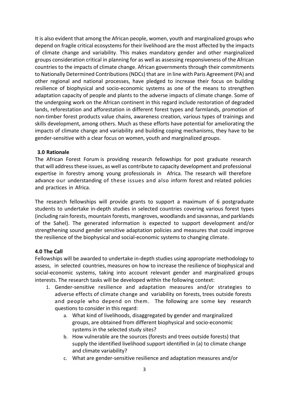It is also evident that among the African people, women, youth and marginalized groups who depend on fragile critical ecosystems for their livelihood are the most affected by the impacts of climate change and variability. This makes mandatory gender and other marginalized groups consideration critical in planning for as well as assessing responsiveness of the African countries to the impacts of climate change. African governments through their commitments to Nationally Determined Contributions (NDCs) that are in line with Paris Agreement (PA) and other regional and national processes, have pledged to increase their focus on building resilience of biophysical and socio-economic systems as one of the means to strengthen adaptation capacity of people and plants to the adverse impacts of climate change. Some of the undergoing work on the African continent in this regard include restoration of degraded lands, reforestation and afforestation in different forest types and farmlands, promotion of non-timber forest products value chains, awareness creation, various types of trainings and skills development, among others. Much as these efforts have potential for ameliorating the impacts of climate change and variability and building coping mechanisms, they have to be gender-sensitive with a clear focus on women, youth and marginalized groups.

#### **3.0 Rationale**

The African Forest Forum is providing research fellowships for post graduate research that will address these issues, as well as contribute to capacity development and professional expertise in forestry among young professionals in Africa. The research will therefore advance our understanding of these issues and also inform forest and related policies and practices in Africa.

The research fellowships will provide grants to support a maximum of 6 postgraduate students to undertake in-depth studies in selected countries covering various forest types (including rain forests, mountain forests, mangroves, woodlands and savannas, and parklands of the Sahel). The generated information is expected to support development and/or strengthening sound gender sensitive adaptation policies and measures that could improve the resilience of the biophysical and social-economic systems to changing climate.

#### **4.0 The Call**

Fellowships will be awarded to undertake in-depth studies using appropriate methodology to assess, in selected countries, measures on how to increase the resilience of biophysical and social-economic systems, taking into account relevant gender and marginalized groups interests. The research tasks will be developed within the following context:

- 1. Gender-sensitive resilience and adaptation measures and/or strategies to adverse effects of climate change and variability on forests, trees outside forests and people who depend on them. The following are some key research questions to consider in this regard:
	- a. What kind of livelihoods, disaggregated by gender and marginalized groups, are obtained from different biophysical and socio-economic systems in the selected study sites?
	- b. How vulnerable are the sources (forests and trees outside forests) that supply the identified livelihood support identified in (a) to climate change and climate variability?
	- c. What are gender-sensitive resilience and adaptation measures and/or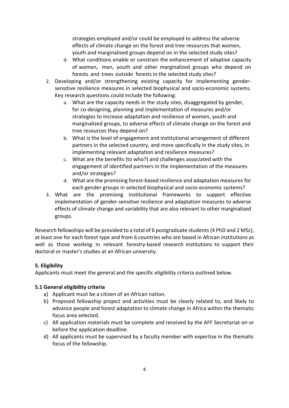strategies employed and/or could be employed to address the adverse effects of climate change on the forest and tree resources that women, youth and marginalized groups depend on in the selected study sites?

- d. What conditions enable or constrain the enhancement of adaptive capacity of women, men, youth and other marginalized groups who depend on forests and trees outside forests in the selected study sites?
- 2. Developing and/or strengthening existing capacity for implementing gendersensitive resilience measures in selected biophysical and socio-economic systems. Key research questions could include the following:
	- a. What are the capacity needs in the study sites, disaggregated by gender, for co-designing, planning and implementation of measures and/or strategies to increase adaptation and resilience of women, youth and marginalized groups, to adverse effects of climate change on the forest and tree resources they depend on?
	- b. What is the level of engagement and institutional arrangement of different partners in the selected country, and more specifically in the study sites, in implementing relevant adaptation and resilience measures?
	- c. What are the benefits (to who?) and challenges associated with the engagement of identified partners in the implementation of the measures and/or strategies?
	- d. What are the promising forest-based resilience and adaptation measures for each gender groups in selected biophysical and socio-economic systems?
- 3. What are the promising institutional frameworks to support effective implementation of gender-sensitive resilience and adaptation measures to adverse effects of climate change and variability that are also relevant to other marginalized groups.

Research fellowships will be provided to a total of 6 postgraduate students (4 PhD and 2 MSc), at least one for each forest type and from 6 countries who are based in African institutions as well as those working in relevant forestry-based research institutions to support their doctoral or master's studies at an African university.

# **5. Eligibility**

Applicants must meet the general and the specific eligibility criteria outlined below.

# **5.1 General eligibility criteria**

- a) Applicant must be a citizen of an African nation.
- b) Proposed fellowship project and activities must be clearly related to, and likely to advance people and forest adaptation to climate change in Africa within the thematic focus area selected.
- c) All application materials must be complete and received by the AFF Secretariat on or before the application deadline.
- d) All applicants must be supervised by a faculty member with expertise in the thematic focus of the fellowship.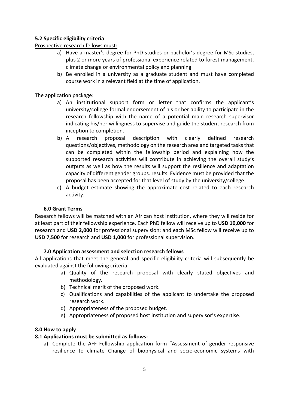# **5.2 Specific eligibility criteria**

# Prospective research fellows must:

- a) Have a master's degree for PhD studies or bachelor's degree for MSc studies, plus 2 or more years of professional experience related to forest management, climate change or environmental policy and planning.
- b) Be enrolled in a university as a graduate student and must have completed course work in a relevant field at the time of application.

# The application package:

- a) An institutional support form or letter that confirms the applicant's university/college formal endorsement of his or her ability to participate in the research fellowship with the name of a potential main research supervisor indicating his/her willingness to supervise and guide the student research from inception to completion.
- b) A research proposal description with clearly defined research questions/objectives, methodology on the research area and targeted tasks that can be completed within the fellowship period and explaining how the supported research activities will contribute in achieving the overall study's outputs as well as how the results will support the resilience and adaptation capacity of different gender groups. results. Evidence must be provided that the proposal has been accepted for that level of study by the university/college.
- c) A budget estimate showing the approximate cost related to each research activity.

## **6.0 Grant Terms**

Research fellows will be matched with an African host institution, where they will reside for at least part of their fellowship experience. Each PhD fellow will receive up to **USD 10,000** for research and **USD 2,000** for professional supervision; and each MSc fellow will receive up to **USD 7,500** for research and **USD 1,000** for professional supervision.

## **7.0 Application assessment and selection research fellows**

All applications that meet the general and specific eligibility criteria will subsequently be evaluated against the following criteria:

- a) Quality of the research proposal with clearly stated objectives and methodology.
- b) Technical merit of the proposed work.
- c) Qualifications and capabilities of the applicant to undertake the proposed research work.
- d) Appropriateness of the proposed budget.
- e) Appropriateness of proposed host institution and supervisor's expertise.

## **8.0 How to apply**

## **8.1 Applications must be submitted as follows:**

a) Complete the AFF Fellowship application form "Assessment of gender responsive resilience to climate Change of biophysical and socio-economic systems with